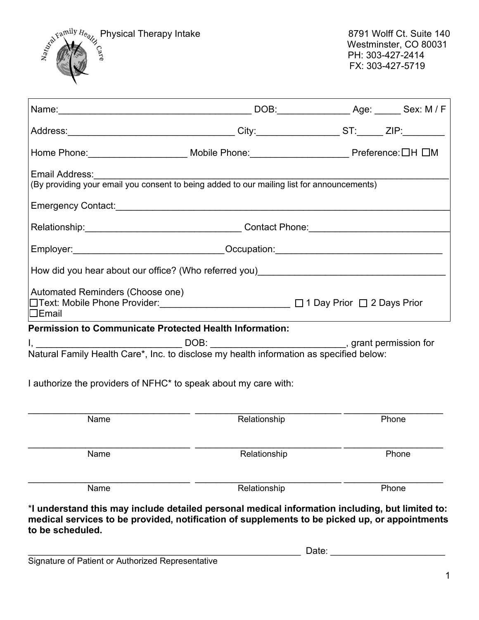

| Home Phone:__________________________Mobile Phone:______________________________Preference:□H □M                                                                                                                     |                                                                                  |  |  |       |  |  |  |
|----------------------------------------------------------------------------------------------------------------------------------------------------------------------------------------------------------------------|----------------------------------------------------------------------------------|--|--|-------|--|--|--|
| Email Address:<br>(By providing your email you consent to being added to our mailing list for announcements)                                                                                                         |                                                                                  |  |  |       |  |  |  |
|                                                                                                                                                                                                                      |                                                                                  |  |  |       |  |  |  |
|                                                                                                                                                                                                                      |                                                                                  |  |  |       |  |  |  |
|                                                                                                                                                                                                                      | Employer: _______________________________Occupation: ___________________________ |  |  |       |  |  |  |
| How did you hear about our office? (Who referred you) [19] The Common Control of the Apple Control of How did you hear                                                                                               |                                                                                  |  |  |       |  |  |  |
| Automated Reminders (Choose one)<br>□Text: Mobile Phone Provider: __________________________ □ 1 Day Prior □ 2 Days Prior<br>$\Box$ Email                                                                            |                                                                                  |  |  |       |  |  |  |
| <b>Permission to Communicate Protected Health Information:</b>                                                                                                                                                       |                                                                                  |  |  |       |  |  |  |
| I, ___________________________________DOB: ________________________________, grant permission for<br>Natural Family Health Care*, Inc. to disclose my health information as specified below:                         |                                                                                  |  |  |       |  |  |  |
| I authorize the providers of NFHC* to speak about my care with:                                                                                                                                                      |                                                                                  |  |  |       |  |  |  |
| Name                                                                                                                                                                                                                 | Relationship                                                                     |  |  | Phone |  |  |  |
| Name                                                                                                                                                                                                                 | Relationship                                                                     |  |  | Phone |  |  |  |
| Name                                                                                                                                                                                                                 | Relationship                                                                     |  |  | Phone |  |  |  |
| *I understand this may include detailed personal medical information including, but limited to:<br>medical services to be provided, notification of supplements to be picked up, or appointments<br>to be scheduled. |                                                                                  |  |  |       |  |  |  |

Signature of Patient or Authorized Representative

1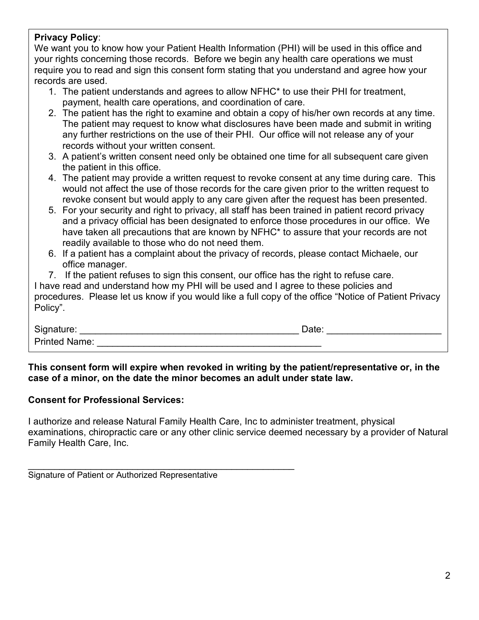## **Privacy Policy**:

We want you to know how your Patient Health Information (PHI) will be used in this office and your rights concerning those records. Before we begin any health care operations we must require you to read and sign this consent form stating that you understand and agree how your records are used.

- 1. The patient understands and agrees to allow NFHC\* to use their PHI for treatment, payment, health care operations, and coordination of care.
- 2. The patient has the right to examine and obtain a copy of his/her own records at any time. The patient may request to know what disclosures have been made and submit in writing any further restrictions on the use of their PHI. Our office will not release any of your records without your written consent.
- 3. A patient's written consent need only be obtained one time for all subsequent care given the patient in this office.
- 4. The patient may provide a written request to revoke consent at any time during care. This would not affect the use of those records for the care given prior to the written request to revoke consent but would apply to any care given after the request has been presented.
- 5. For your security and right to privacy, all staff has been trained in patient record privacy and a privacy official has been designated to enforce those procedures in our office. We have taken all precautions that are known by NFHC\* to assure that your records are not readily available to those who do not need them.
- 6. If a patient has a complaint about the privacy of records, please contact Michaele, our office manager.
- 7. If the patient refuses to sign this consent, our office has the right to refuse care.

I have read and understand how my PHI will be used and I agree to these policies and procedures. Please let us know if you would like a full copy of the office "Notice of Patient Privacy Policy".

| Signature:           | ato |  |
|----------------------|-----|--|
| <b>Printed Name:</b> |     |  |

**This consent form will expire when revoked in writing by the patient/representative or, in the case of a minor, on the date the minor becomes an adult under state law.** 

## **Consent for Professional Services:**

I authorize and release Natural Family Health Care, Inc to administer treatment, physical examinations, chiropractic care or any other clinic service deemed necessary by a provider of Natural Family Health Care, Inc.

| Signature of Patient or Authorized Representative |  |
|---------------------------------------------------|--|